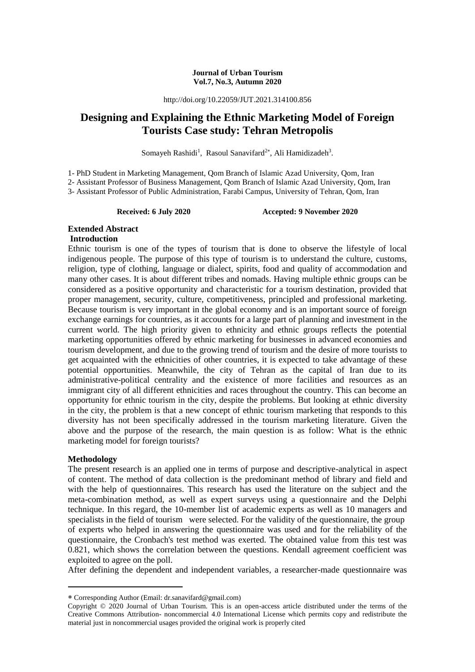#### **Journal of Urban Tourism Vol.7, No.3, Autumn 2020**

http://doi.org/10.22059/JUT.2021.314100.856

# **Designing and Explaining the Ethnic Marketing Model of Foreign Tourists Case study: Tehran Metropolis**

Somayeh Rashidi<sup>1</sup>, Rasoul Sanavifard<sup>2\*</sup>, Ali Hamidizadeh<sup>3</sup>.

1- PhD Student in Marketing Management, Qom Branch of Islamic Azad University, Qom, Iran

2- Assistant Professor of Business Management, Qom Branch of Islamic Azad University, Qom, Iran

3- Assistant Professor of Public Administration, Farabi Campus, University of Tehran, Qom, Iran

**Received: 6 July 2020 Accepted: 9 November 2020**

# **Extended Abstract**

#### **Introduction**

Ethnic tourism is one of the types of tourism that is done to observe the lifestyle of local indigenous people. The purpose of this type of tourism is to understand the culture, customs, religion, type of clothing, language or dialect, spirits, food and quality of accommodation and many other cases. It is about different tribes and nomads. Having multiple ethnic groups can be considered as a positive opportunity and characteristic for a tourism destination, provided that proper management, security, culture, competitiveness, principled and professional marketing. Because tourism is very important in the global economy and is an important source of foreign exchange earnings for countries, as it accounts for a large part of planning and investment in the current world. The high priority given to ethnicity and ethnic groups reflects the potential marketing opportunities offered by ethnic marketing for businesses in advanced economies and tourism development, and due to the growing trend of tourism and the desire of more tourists to get acquainted with the ethnicities of other countries, it is expected to take advantage of these potential opportunities. Meanwhile, the city of Tehran as the capital of Iran due to its administrative-political centrality and the existence of more facilities and resources as an immigrant city of all different ethnicities and races throughout the country. This can become an opportunity for ethnic tourism in the city, despite the problems. But looking at ethnic diversity in the city, the problem is that a new concept of ethnic tourism marketing that responds to this diversity has not been specifically addressed in the tourism marketing literature. Given the above and the purpose of the research, the main question is as follow: What is the ethnic marketing model for foreign tourists?

## **Methodology**

-

The present research is an applied one in terms of purpose and descriptive-analytical in aspect of content. The method of data collection is the predominant method of library and field and with the help of questionnaires. This research has used the literature on the subject and the meta-combination method, as well as expert surveys using a questionnaire and the Delphi technique. In this regard, the 10-member list of academic experts as well as 10 managers and specialists in the field of tourism were selected. For the validity of the questionnaire, the group of experts who helped in answering the questionnaire was used and for the reliability of the questionnaire, the Cronbach's test method was exerted. The obtained value from this test was 0.821, which shows the correlation between the questions. Kendall agreement coefficient was exploited to agree on the poll.

After defining the dependent and independent variables, a researcher-made questionnaire was

Corresponding Author (Email: dr.sanavifard@gmail.com)

Copyright © 2020 Journal of Urban Tourism. This is an open-access article distributed under the terms of the Creative Commons Attribution- noncommercial 4.0 International License which permits copy and redistribute the material just in noncommercial usages provided the original work is properly cited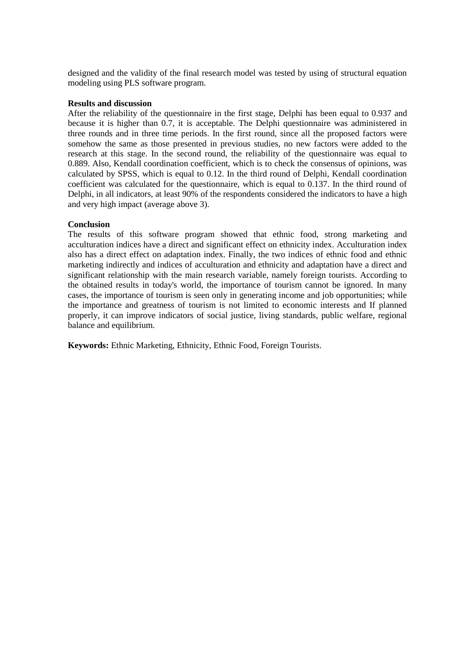designed and the validity of the final research model was tested by using of structural equation modeling using PLS software program.

#### **Results and discussion**

After the reliability of the questionnaire in the first stage, Delphi has been equal to 0.937 and because it is higher than 0.7, it is acceptable. The Delphi questionnaire was administered in three rounds and in three time periods. In the first round, since all the proposed factors were somehow the same as those presented in previous studies, no new factors were added to the research at this stage. In the second round, the reliability of the questionnaire was equal to 0.889. Also, Kendall coordination coefficient, which is to check the consensus of opinions, was calculated by SPSS, which is equal to 0.12. In the third round of Delphi, Kendall coordination coefficient was calculated for the questionnaire, which is equal to 0.137. In the third round of Delphi, in all indicators, at least 90% of the respondents considered the indicators to have a high and very high impact (average above 3).

#### **Conclusion**

The results of this software program showed that ethnic food, strong marketing and acculturation indices have a direct and significant effect on ethnicity index. Acculturation index also has a direct effect on adaptation index. Finally, the two indices of ethnic food and ethnic marketing indirectly and indices of acculturation and ethnicity and adaptation have a direct and significant relationship with the main research variable, namely foreign tourists. According to the obtained results in today's world, the importance of tourism cannot be ignored. In many cases, the importance of tourism is seen only in generating income and job opportunities; while the importance and greatness of tourism is not limited to economic interests and If planned properly, it can improve indicators of social justice, living standards, public welfare, regional balance and equilibrium.

**Keywords:** Ethnic Marketing, Ethnicity, Ethnic Food, Foreign Tourists.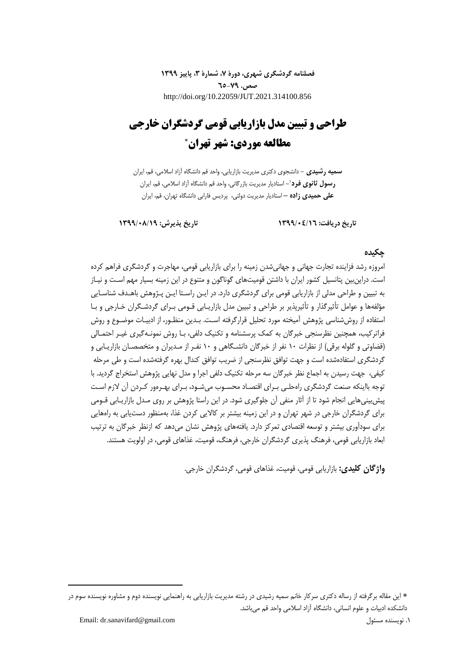**فصلنامه گردشگری شهری، دورۀ ،7 شمارۀ ،3 پاییز 1399 صص. 65-79** http://doi.org/10.22059/JUT.2021.314100.856

# **طراحی و تبیین مدل بازاریابی قومی گردشگران خارجی مطالعه موردی: شهر تهران**

**سمیه رشیدی -** دانشجوی دکتری مدیریت بازاریابی، واحد قم دانشگاه آزاد اسالمی، قم، ایران **-** استادیار مدیریت بازرگانی، واحد قم دانشگاه آزاد اسالمی، قم، ایران <sup>1</sup> **رسول ثانوی فرد علی حمیدی زاده –** استادیار مدیریت دولتی، پردیس فارابی دانشگاه تهران، قم، ایران

**تاریخ دریافت: 1399/04/16 تاریخ پذیرش: 1399/08/19**

#### **چکیده**

امروزه رشد فزاینده تجارت جهانی و جهانیشدن زمینه را برای بازاریابی قومی، مهاجرت و گردشگری فراهم کرده است. دراینبین پتانسیل کشور ایران با داشتن قومیتهای گوناگون و متنوع در این زمینه بسیار مهم اسـت و نیـاز به تبیین و طراحی مدلی از بازاریابی قومی برای گردشگری دارد. در ایـن راسـتا ایـن پـژوهش باهـدف شناسـایی مؤلفهها و عوامل تأثیرگذار و تأثیرپذیر بر طراحی و تبیین مدل بازاریـابی قـومی بـرای گردشـگران خـارجی و بـا استفاده از روش شناسی پژوهش آمیخته مورد تحلیل قرارگرفته اسـت. بـدین منظـور، از ادبیـات موضـوع و روش فراترکیب، همچنین نظرسنجی خبرگان به کمک پرسشنامه و تکنیک دلفی، بـا روش نمونـهگیری غیـر احتمـالی (قضاوتی و گلوله برقی) از نظرات ۱۰ نفر از خبرگان دانشـگاهی و ۱۰ نفـر از مـدیران و متخصصـان بازاریـابی و گردشگری استفادهشده است و جهت توافق نظرسنجی از ضریب توافق کندال بهره گرفتهشده است و طی مرحله کیفی، جهت رسیدن به اجماع نظر خبرگان سه مرحله تکنیک دلفی اجرا و مدل نهایی پژوهش استخراج گردید. با توجه بااینکه صنعت گردشگری راهحلـی بـرای اقتصـاد محسـوب میشـود، بـرای بهـرهور کـردن آن الزم اسـت پیشبینیهایی انجام شود تا از آثار منفی آن جلوگیری شود. در این راستا پژوهش بر روی مـدل بازاریـابی قـومی برای گردشگران خارجی در شهر تهران و در این زمینه بیشتر بر کاالیی کردن غذا، بهمنظور دستیابی به راههایی برای سودآوری بیشتر و توسعه اقتصادی تمرکز دارد. یافتههای پژوهش نشان میدهد که ازنظر خبرگان به ترتیب ابعاد بازاریابی قومی، فرهنگ پذیری گردشگران خارجی، فرهنگ، قومیت، غذاهای قومی، در اولویت هستند.

**واژگان کلیدی:** بازاریابی قومی، قومیت، غذاهای قومی، گردشگران خارجی.

Email: dr.sanavifard@gmail.com مسئول نویسنده .1

1

این مقاله برگرفته از رساله دکتری سرکار خانم سمیه رشیدی در رشته مدیریت بازاریابی به راهنمایی نویسنده دوم و مشاوره نویسنده سوم در دانشکده ادبیات و علوم انسانی، دانشگاه آزاد اسالمی واحد قم میباشد.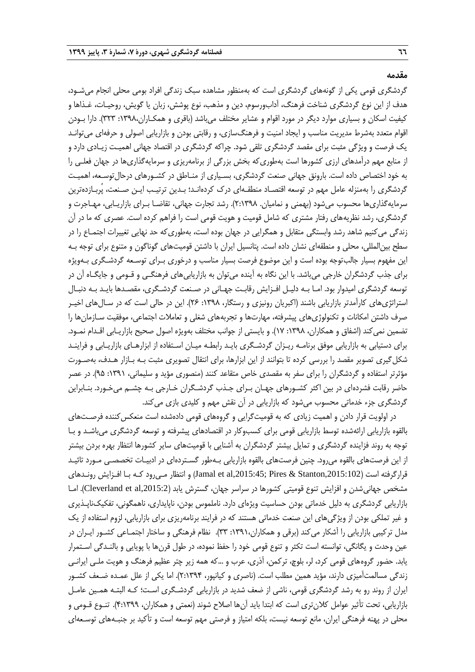#### **مقدمه**

گردشگری قومی یکی از گونههای گردشگری است که بهمنظور مشاهده سبک زندگی افراد بومی محلی انجام میشـود، هدف از این نوع گردشگری شناخت فرهنگ، آدابورسوم، دین و مذهب، نوع پوشش، زبان یا گویش، روحیـات، غـذاها و کیفیت اسکان و بسیاری موارد دیگر در مورد اقوام و عشایر مختلف میباشد )باقری و همکـاران:1398، 323(. دارا بـودن اقوام متعدد بهشرط مدیریت مناسب و ایجاد امنیت و فرهنگسازی، و رقابتی بودن و بازاریابی اصولی و حرفهای میتوانـد یک فرصت و ویژگی مثبت برای مقصد گردشگری تلقی شود. چراکه گردشگری در اقتصاد جهانی اهمیـت زیـادی دارد و از منابع مهم درآمدهای ارزی کشورها است بهطوریکه بخش بزرگی از برنامهریزی و سرمایهگذاریها در جهان فعلـی را به خود اختصاص داده است. بارونق جهانی صنعت گردشگری، بسـیاری از منـاطق در کشـورهای درحالتوسـعه، اهمیـت گردشگری را بهمنزله عامل مهم در توسعه اقتصـاد منطقـهای درك کردهانـد؛ بـدین ترتیـب ایـن صـنعت، پُربـازدهترین سرمایهگذاریها محسوب میشود )بهمنی و نمامیان. 2:1398(. رشد تجارت جهانی، تقاضـا بـرای بازاریـابی، مهـاجرت و گردشگری، رشد نظریههای رفتار مشتری که شامل قومیت و هویت قومی است را فراهم کرده است. عصری که ما در آن زندگی میکنیم شاهد رشد وابستگی متقابل و همگرایی در جهان بوده است، بهطوریکه حد نهایی تغییرات اجتمـاع را در سطح بینالمللی، محلی و منطقهای نشان داده است. پتانسیل ایران با داشتن قومیتهای گوناگون و متنوع برای توجه بـه این مفهوم بسیار جالبتوجه بوده است و این موضوع فرصت بسیار مناسب و درخوری بـرای توسـعه گردشـگری بـهویژه برای جذب گردشگران خارجی میباشد. با این نگاه به آینده میتوان به بازاریابیهای فرهنگـی و قـومی و جایگـاه آن در توسعه گردشگری امیدوار بود. امـا بـه دلیـل افـزایش رقابـت جهـانی در صـنعت گردشـگری، مقصـدها بایـد بـه دنبـال استراتژیهای کارآمدتر بازاریابی باشند )اکبریان رونیزی و رستگار، :1398 26(. این در حالی است که در سـالهای اخیـر صرف داشتن امکانات و تکنولوژیهای پیشرفته، مهارتها و تجربههای شغلی و تعامالت اجتماعی، موفقیت سـازمانها را تضمین نمی کند (اشفاق و همکاران، ١٣٩٨: ١٧). و بایستی از جوانب مختلف بهویژه اصول صحیح بازاریـابی اقـدام نمـود. برای دستیابی به بازاریابی موفق برنامـه ریـزان گردشـگری بایـد رابطـه میـان اسـتفاده از ابزارهـای بازاریـابی و فراینـد شکلگیری تصویر مقصد را بررسی کرده تا بتوانند از این ابزارها، برای انتقال تصویری مثبت بـه بـازار هـدف، بهصـورت مؤثرتر استفاده و گردشگران را برای سفر به مقصدی خاص متقاعد کنند (منصوری مؤید و سلیمانی، ۱۳۹۱: ۹۵). در عصر حاضر رقابت فشردهای در بین اکثر کشـورهای جهـان بـرای جـذب گردشـگران خـارجی بـه چشـم میخـورد. بنـابراین گردشگری جزء خدماتی محسوب میشود که بازاریابی در آن نقش مهم و کلیدی بازی میکند.

در اولویت قرار دادن و اهمیت زیادی که به قومیتگرایی و گروههای قومی دادهشده است منعکس کننده فرصـتهای بالقوه بازاریابی ارائهشده توسط بازاریابی قومی برای کسبوکار در اقتصادهای پیشرفته و توسعه گردشگری میباشـد و بـا توجه به روند فزاینده گردشگری و تمایل بیشتر گردشگران به آشنایی با قومیتهای سایر کشورها انتظار بهره بردن بیشتر از این فرصتهای بالقوه میرود. چنین فرصتهای بالقوه بازاریابی بـهطور گسـتردهای در ادبیـات تخصصـی مـورد تائیـد قرارگرفته است (Jamal et al,2015:45; Pires & Stanton,2015:102) و انتظار مـیرود کـه بـا افـزایش رونـدهای مشخص جهانی شدن و افزایش تنوع قومیتی کشورها در سراسر جهان، گسترش یابد (Cleverland et al,2015:2). امـا بازاریابی گردشگری به دلیل خدماتی بودن حساسیت ویژهای دارد. ناملموس بودن، ناپایداری، ناهمگونی، تفکیکناپـذیری و غیر تملکی بودن از ویژگیهای این صنعت خدماتی هستند که در فرایند برنامهریزی برای بازاریابی، لزوم استفاده از یک مدل ترکیبی بازاریابی را آشکار میکند )برقی و همکاران:1391، 33(. نظام فرهنگی و ساختار اجتمـاعی کشـور ایـران در عین وحدت و یگانگی، توانسته است تکثر و تنوع قومی خود را حفظ نموده، در طول قرن۱ه با پویایی و بالنـدگی اسـتمرار یابد. حضور گروههای قومی کرد، لر، بلوچ، ترکمن، آذری، عرب و ...که همه زیر چتر عظیم فرهنگ و هویت ملـی ایرانـی زندگی مسالمتآمیزی دارند، مؤید همین مطلب است. (ناصری و کیانپور، ۲:۱۳۹۴). اما یکی از علل عمـده ضـعف کشـور ایران از روند رو به رشد گردشگری قومی، ناشی از ضعف شدید در بازاریابی گردشـگری اسـت؛ کـه البتـه همـین عامـل بازاریابی، تحت تأثیر عوامل کالنتری است که ابتدا باید آنها اصالح شوند )نعمتی و همکاران، 4:1399(. تنـوع قـومی و محلی در پهنه فرهنگی ایران، مانع توسعه نیست، بلکه امتیاز و فرصتی مهم توسعه است و تأکید بر جنبـههای توسـعهای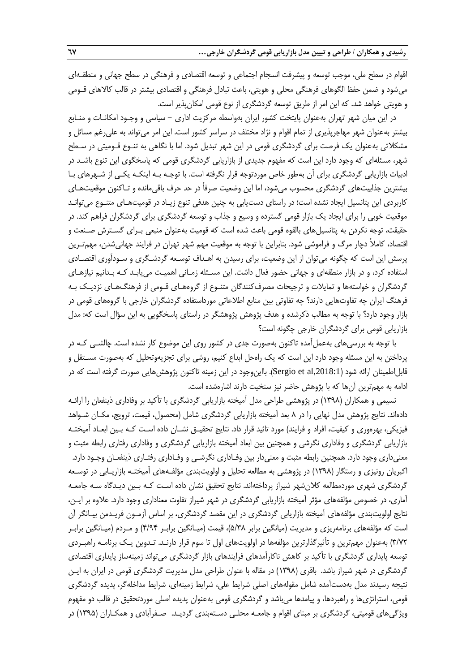اقوام در سطح ملی، موجب توسعه و پیشرفت انسجام اجتماعی و توسعه اقتصادی و فرهنگی در سطح جهانی و منطقـهای میشود و ضمن حفظ الگوهای فرهنگی محلی و هویتی، باعث تبادل فرهنگی و اقتصادی بیشتر در قالب کالاهای قـومی و هویتی خواهد شد. که این امر از طریق توسعه گردشگری از نوع قومی امکانپذیر است.

در این میان شهر تهران بهعنوان پایتخت کشور ایران بهواسطه مرکزیت اداری - سیاسی و وجـود امکانـات و منـابع بیشتر بهعنوان شهر مهاجرپذیری از تمام اقوام و نژاد مختلف در سراسر کشور است. این امر میتواند به علیرغم مسائل و مشکالتی بهعنوان یک فرصت برای گردشگری قومی در این شهر تبدیل شود. اما با نگاهی به تنـوع قـومیتی در سـطح شهر، مسئلهای که وجود دارد این است که مفهوم جدیدی از بازاریابی گردشگری قومی که پاسخگوی این تنوع باشـد در ادبیات بازاریابی گردشگری برای آن بهطور خاص موردتوجه قرار نگرفته است. با توجـه بـه اینکـه یکـی از شـهرهای بـا بیشترین جذابیتهای گردشگری محسوب میشود، اما این وضعیت صرفاً در حد حرف باقیمانده و تـاکنون موقعیتهـای کاربردی این پتانسیل ایجاد نشده است؛ در راستای دستیابی به چنین هدفی تنوع زیـاد در قومیتهـای متنـوع میتوانـد موقعیت خوبی را برای ایجاد یک بازار قومی گسترده و وسیع و جذاب و توسعه گردشگری برای گردشگران فراهم کند. در حقیقت، توجه نکردن به پتانسیلهای بالقوه قومی باعث شده است که قومیت بهعنوان منبعی بـرای گسـترش صـنعت و اقتصاد، کاملاً دچار مرگ و فراموشی شود. بنابراین با توجه به موقعیت مهم شهر تهران در فرایند جهانیشدن، مهمتـرین پرسش این است که چگونه میتوان از این وضعیت، برای رسیدن به اهـداف توسـعه گردشـگری و سـودآوری اقتصـادی استفاده کرد، و در بازار منطقهای و جهانی حضور فعال داشت. این مسـئله زمـانی اهمیـت مییابـد کـه بـدانیم نیازهـای گردشگران و خواستهها و تمایالت و ترجیحات مصرفکنندگان متنـوع از گروههـای قـومی از فرهنگهـای نزدیـک بـه فرهنگ ایران چه تفاوتهایی دارند؟ چه تفاوتی بین منابع اطالعاتی مورداستفاده گردشگران خارجی با گروههای قومی در بازار وجود دارد؟ با توجه به مطالب ذکرشده و هدف پژوهش پژوهشگر در راستای پاسخگویی به این سؤال است که: مدل بازاریابی قومی برای گردشگران خارجی چگونه است؟

با توجه به بررسیهای بهعملآمده تاکنون بهصورت جدی در کشور روی این موضوع کار نشده است. چالشـی کـه در پرداختن به این مسئله وجود دارد این است که یک راهحل ابداع کنیم، روشی برای تجزیهوتحلیل که بهصورت مسـتقل و قابل|طمینان ارائه شود (Sergio et al,2018:1). بااین1جود در این زمینه تاکنون پژوهش@ایی صورت گرفته است که در ادامه به مهمترین آنها که با پژوهش حاضر نیز سنخیت دارند اشارهشده است.

نسیمی و همکاران )1398( در پژوهشی طراحی مدل آمیخته بازاریابی گردشگری با تأکید بر وفاداری ذینفعان را ارائـه دادهاند. نتایج پژوهش مدل نهایی را در 8 بعد آمیخته بازاریابی گردشگری شامل )محصول، قیمت، ترویج، مکـان شـواهد فیزیکی، بهرهوری و کیفیت، افراد و فرایند) مورد تائید قرار داد. نتایج تحقیـق نشـان داده اسـت کـه بـین ابعـاد آمیختـه بازاریابی گردشگری و وفاداری نگرشی و همچنین بین ابعاد آمیخته بازاریابی گردشگری و وفاداری رفتاری رابطه مثبت و معنیداری وجود دارد. همچنین رابطه مثبت و معنیدار بین وفـاداری نگرشـی و وفـاداری رفتـاری ذینفعـان وجـود دارد. اکبریان رونیزی و رستگار )1398( در پژوهشی به مطالعه تحلیل و اولویتبندی مؤلفـههای آمیختـه بازاریـابی در توسـعه گردشگری شهری موردمطالعه کالنشهر شیراز پرداختهاند. نتایج تحقیق نشان داده اسـت کـه بـین دیـدگاه سـه جامعـه آماری، در خصوص مؤلفههای مؤثر آمیخته بازاریابی گردشگری در شهر شیراز تفاوت معناداری وجود دارد. عالوه بر ایـن، نتایج اولویتبندی مؤلفههای آمیخته بازاریابی گردشگری در این مقصد گردشگری، بر اساس آزمـون فریـدمن بیـانگر آن است که مؤلفههای برنامهریزی و مدیریت )میانگین برابر 5/38(، قیمت )میـانگین برابـر 4/94( و مـردم )میـانگین برابـر 3/72( بهعنوان مهمترین و تأثیرگذارترین مؤلفهها در اولویتهای اول تا سوم قرار دارنـد. تـدوین یـک برنامـه راهبـردی توسعه پایداری گردشگری با تأکید بر کاهش ناکارآمدهای فرایندهای بازار گردشگری میتواند زمینهساز پایداری اقتصادی گردشگری در شهر شیراز باشد. باقری (۱۳۹۸) در مقاله با عنوان طراحی مدل مدیریت گردشگری قومی در ایران به ایـن نتیجه رسیدند مدل بهدستآمده شامل مقولههای اصلی شرایط علی، شرایط زمینهای، شرایط مداخلهگر، پدیده گردشگری قومی، استراتژیها و راهبردها، و پیامدها میباشد و گردشگری قومی بهعنوان پدیده اصلی موردتحقیق در قالب دو مفهوم ویژگیهای قومیتی، گردشگری بر مبنای اقوام و جامعـه محلـی دسـتهبندی گردیـد. صـفرآبادی و همکـاران )1395( در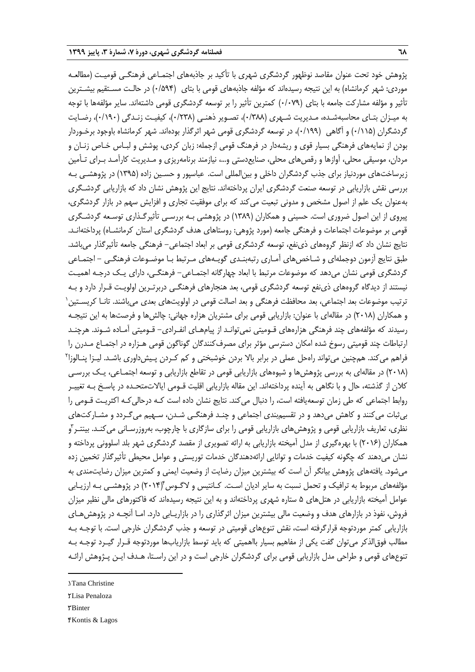پژوهش خود تحت عنوان مقاصد نوظهور گردشگری شهری با تأکید بر جاذبههای اجتمـاعی فرهنگـی قومیـت )مطالعـه موردی: شهر کرمانشاه) به این نتیجه رسیدهاند که مؤلفه جاذبههای قومی با بتای (۰/۵۹۴) در حالـت مسـتقیم بیشـترین تأثیر و مؤلفه مشارکت جامعه با بتای )0/079( کمترین تأثیر را بر توسعه گردشگری قومی داشتهاند. سایر مؤلفهها با توجه به میـزان بتـای محاسبهشـده، مـدیریت شـهری )0/388(، تصـویر ذهنـی )0/238(، کیفیـت زنـدگی )0/190(، رضـایت گردشگران (۱۱۵/۰) و آگاهی (۱۹۹/۰)، در توسعه گردشگری قومی شهر اثرگذار بودهاند. شهر کرمانشاه باوجود برخـوردار بودن از نمایههای فرهنگی بسیار قوی و ریشهدار در فرهنگ قومی ازجمله: زبان کردی، پوشش و لبـاس خـاص زنـان و مردان، موسیقی محلی، آوازها و رقصهای محلی، صنایعدستی و،... نیازمند برنامهریزی و مـدیریت کارآمـد بـرای تـأمین زیرساختهای موردنیاز برای جذب گردشگران داخلی و بینالمللی است. عباسپور و حسـین زاده )1395( در پژوهشـی بـه بررسی نقش بازاریابی در توسعه صنعت گردشگری ایران پرداختهاند. نتایج این پژوهش نشان داد که بازاریابی گردشـگری بهعنوان یک علم از اصول مشخص و مدونی تبعیت میکند که برای موفقیت تجاری و افزایش سهم در بازار گردشگری، پیروی از این اصول ضروری است. حسینی و همکاران )1389( در پژوهشی بـه بررسـی تأثیرگـذاری توسـعه گردشـگری قومی بر موضوعات اجتماعات و فرهنگی جامعه (مورد پژوهی: روستاهای هدف گردشگری استان کرمانشـاه) پرداختهانـد. نتایج نشان داد که ازنظر گروههای ذینفع، توسعه گردشگری قومی بر ابعاد اجتماعی- فرهنگی جامعه تأثیرگذار میباشد. طبق نتایج آزمون دوجملهای و شـاخصهای آمـاری رتبهبنـدی گویـههای مـرتب بـا موضـوعات فرهنگـی - اجتمـاعی گردشگری قومی نشان میدهد که موضوعات مرتبط با ابعاد چهارگانه اجتمـاعی– فرهنگـی، دارای یـک درجـه اهمیـت نیستند از دیدگاه گروههای ذینفع توسعه گردشگری قومی، بعد هنجارهای فرهنگـی دربرتـرین اولویـت قـرار دارد و بـه 1 ترتیب موضوعات بعد اجتماعی، بعد محافظت فرهنگی و بعد اصالت قومی در اولویتهای بعدی میباشند. تانـا کریسـتین و همکاران )2018( در مقالهای با عنوان: بازاریابی قومی برای مشتریان هزاره جهانی: چالشها و فرصتها به این نتیجـه رسیدند که مؤلفههای چند فرهنگی هزارههای قـومیتی نمیتوانـد از پیامهـای انفـرادی- قـومیتی آمـاده شـوند. هرچنـد ارتباطات چند قومیتی رسوخ شده امکان دسترسی مؤثر برای مصرفکنندگان گوناگون قومی هـزاره در اجتمـاع مـدرن را فراهم میکند. همچنین میتواند راهحل عملی در برابر بالا بردن خوشبختی و کم کـردن پـیشداوری باشـد. لیـزا پنـالوزا<sup>۲</sup> )2018( در مقالهای به بررسی پژوهشها و شیوههای بازاریابی قومی در تقاطع بازاریابی و توسعه اجتمـاعی، یـک بررسـی کالن از گذشته، حال و با نگاهی به آینده پرداختهاند. این مقاله بازاریابی اقلیت قـومی ایاالتمتحـده در پاسـ بـه تغییـر روابط اجتماعی که طی زمان توسعهیافته است، را دنبال می کند. نتایج نشان داده است کـه درحالی کـه اکثریـت قـومی را بیثبات میکنند و کاهش میدهد و در تقسیمبندی اجتماعی و چنـد فرهنگـی شـدن، سـهیم میگـردد و مشـارکتهای نظری، تعاریف بازاریابی قومی و پژوهشهای بازاریابی قومی را برای سازگاری با چارچوب، بهروزرسـانی میکنـد. بینتـر آو همکاران )2016( با بهرهگیری از مدل آمیخته بازاریابی به ارائه تصویری از مقصد گردشگری شهر بلد اسلوونی پرداخته و نشان میدهند که چگونه کیفیت خدمات و توانایی ارائهدهندگان خدمات توریستی و عوامل محیطی تأثیرگذار تخمین زده میشود. یافتههای پژوهش بیانگر آن است که بیشترین میزان رضایت از وضعیت ایمنی و کمترین میزان رضایتمندی به مؤلفههای مربوط به ترافیک و تحمل نسبت به سایر ادیان اسـت. کـانتیس و لاگـوس(۲۰۱۴) در پژوهشـی بـه ارزیـابی عوامل آمیخته بازاریابی در هتلهای 5 ستاره شهری پرداختهاند و به این نتیجه رسیدهاند که فاکتورهای مالی نظیر میزان فروش، نفوذ در بازارهای هدف و وضعیت مالی بیشترین میزان اثرگذاری را در بازاریـابی دارد. امـا آنچـه در پژوهشهـای بازاریابی کمتر موردتوجه قرارگرفته است، نقش تنوعهای قومیتی در توسعه و جذب گردشگران خارجی است. با توجـه بـه مطالب فوق|لذکر میتوان گفت یکی از مفاهیم بسیار بااهمیتی که باید توسط بازاریابها موردتوجه قـرار گیـرد توجـه بـه تنوعهای قومی و طراحی مدل بازاریابی قومی برای گردشگران خارجی است و در این راسـتا، هـدف ایـن پـژوهش ارائـه

- 2. Lisa Penaloza
- 3. Binter

**.** 

4. Kontis & Lagos

<sup>1</sup>. Tana Christine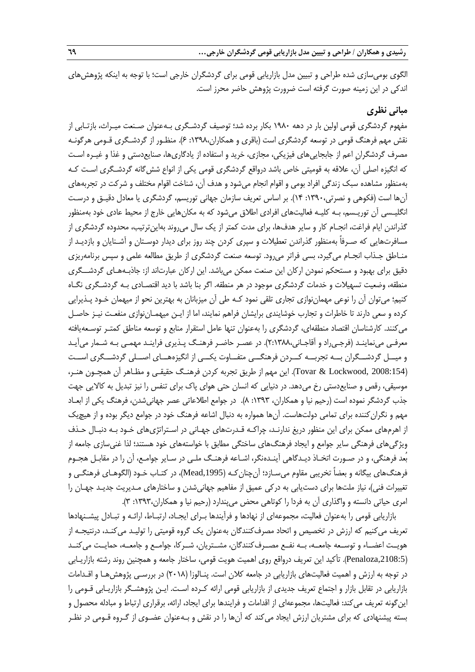**رشیدی و همکاران / طراحی و تبیین مدل بازاریابی قومی گردشگران خارجی... 69**

الگوی بومیسازی شده طراحی و تبیین مدل بازاریابی قومی برای گردشگران خارجی است؛ با توجه به اینکه پژوهشهای اندکی در این زمینه صورت گرفته است ضرورت پژوهش حاضر محرز است.

## **مبانی نظری**

مفهوم گردشگری قومی اولین بار در دهه 1980 بکار برده شد؛ توصیف گردشـگری بـهعنوان صـنعت میـراث، بازتـابی از نقش مهم فرهنگ قومی در توسعه گردشگری است (باقری و همکاران،۱۳۹۸: ۶). منظـور از گردشـگری قـومی هرگونـه مصرف گردشگران اعم از جابجاییهای فیزیکی، مجازی، خرید و استفاده از یادگاریها، صنایعدستی و غذا و غیـره اسـت که انگیزه اصلی آن، عالقه به قومیتی خاص باشد درواقع گردشگری قومی یکی از انواع ششگانه گردشـگری اسـت کـه بهمنظور مشاهده سبک زندگی افراد بومی و اقوام انجام میشود و هدف آن، شناخت اقوام مختلف و شرکت در تجربههای آنها است )فکوهی و نصرتی:1390، 14(. بر اساس تعریف سازمان جهانی توریسم، گردشگری یا معادل دقیـق و درسـت انگلیـسی آن توریـسم، بـه کلیـه فعالیتهای افرادی اطلاق میشود که به مکانهایی خارج از محیط عادی خود بهمنظور گذراندن ایام فراغت، انجـام کار و سایر هدفها، برای مدت کمتر از یک سال میروند بهاینترتیب، محدوده گردشگری از مسافرتهایی که صـرفاً بهمنظور گذراندن تعطیالت و سپری کردن چند روز برای دیدار دوسـتان و آشـنایان و بازدیـد از منـاطق جـذاب انجـام میگیرد، بسی فراتر میرود. توسعه صنعت گردشگری از طریق مطالعه علمی و سپس برنامهریزی دقیق برای بهبود و مستحکم نمودن ارکان این صنعت ممکن میباشد. این ارکان عبارتاند از: جاذبـههـای گردشــگری منطقه، وضعیت تسهیالت و خدمات گردشگری موجود در هر منطقه. اگر بنا باشد با دید اقتصـادی بـه گردشـگری نگـاه کنیم؛ میتوان آن را نوعی مهماننوازی تجاری تلقی نمود کـه طی آن میزبانان به بهترین نحو از میهمان خـود پـذیرایی کرده و سعی دارند تا خاطرات و تجارب خوشایندی برایشان فراهم نمایند، اما از ایـن میهمـاننوازی منفعـت نیـز حاصـل میکنند. کارشناسان اقتصاد منطقهای، گردشگری را بهعنوان تنها عامل استقرار منابع و توسعه مناطق کمتـر توسـعهیافته معرفـی مینماینـد )فرجـیراد و آقاجـانی2:1388،(. در عصـر حاضـر فرهنـگ پـذیری فراینـد مهمـی بـه شـمار میآیـد و میــل گردشــگران بــه تجربــه کــردن فرهنگــی متفــاوت یکــی از انگیزههــای اصــلی گردشــگری اســت )2008:154 ,Lockwood & Tovar). این مهم از طریق تجربه کردن فرهنـگ حقیقـی و مظـاهر آن همچـون هنـر، موسیقی، رقص و صنایعدستی رخ میدهد. در دنیایی که انسان حتی هوای پاك برای تنفس را نیز تبدیل به کاالیی جهت جذب گردشگر نموده است (رحیم نیا و همکاران، ١٣٩٣: ٨). در جوامع اطلاعاتی عصر جهانیشدن، فرهنگ یکی از ابعـاد مهم و نگران کننده برای تمامی دولتهاست. آنها همواره به دنبال اشاعه فرهنگ خود در جوامع دیگر بوده و از هیچیک از اهرمهای ممکن برای این منظور دریغ ندارنـد، چراکـه قـدرتهای جهـانی در اسـتراتژیهای خـود بـه دنبـال حـذف ویژگیهای فرهنگی سایر جوامع و ایجاد فرهنگهای ساختگی مطابق با خواستههای خود هستند؛ لذا غنیسازی جامعه از بُعد فرهنگی، و در صـورت اتخـاذ دیـدگاهی آینـدهنگر، اشـاعه فرهنـگ ملـی در سـایر جوامـع، آن را در مقابـل هجـوم فرهنگهای بیگانه و بعضاً تخریبی مقاوم میسـازد؛ آنچنانکـه ),1995Mead)، در کتـاب خـود )الگوهـای فرهنگـی و تغییرات فنی)، نیاز ملتها برای دستیابی به درکی عمیق از مفاهیم جهانیشدن و ساختارهای مـدیریت جدیـد جهـان را امری حیاتی دانسته و واگذاری آن به فردا را کوتاهی محض میپندارد )رحیم نیا و همکاران:1393، 3(.

بازاریابی قومی را بهعنوان فعالیت، مجموعهای از نهادها و فرآیندها بـرای ایجـاد، ارتبـاط، ارائـه و تبـادل پیشـنهادها تعریف میکنیم که ارزش در تخصیص و اتحاد مصرفکنندگان بهعنوان یک گروه قومیتی را تولیـد میکنـد، درنتیجـه از هویــت اعضــاء و توســعه جامعــه، بــه نفــع مصــرفکنندگان، مشــتریان، شــرکا، جوامــع و جامعــه، حمایــت میکنــد ),2108:5Penaloza). تأکید این تعریف درواقع روی اهمیت هویت قومی، ساختار جامعه و همچنین روند رشته بازاریـابی در توجه به ارزش و اهمیت فعالیتهای بازاریابی در جامعه کالن است. پنـالوزا )2018( در بررسـی پژوهشهـا و اقـدامات بازاریابی در تقابل بازار و اجتماع تعریف جدیدی از بازاریابی قومی ارائه کـرده اسـت. ایـن پژوهشـگر بازاریـابی قـومی را اینگونه تعریف میکند: فعالیتها، مجموعهای از اقدامات و فرایندها برای ایجاد، ارائه، برقراری ارتباط و مبادله محصول و بسته پیشنهادی که برای مشتریان ارزش ایجاد میکند که آنها را در نقش و بـهعنوان عضـوی از گـروه قـومی در نظـر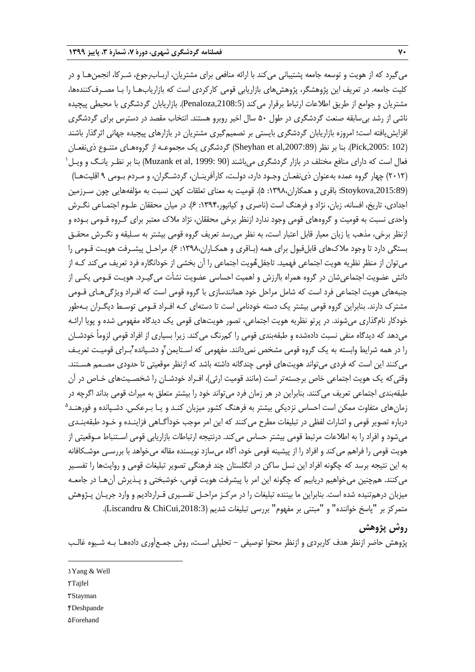میگیرد که از هویت و توسعه جامعه پشتیبانی میکند با ارائه منافعی برای مشتریان، اربـابرجوع، شـرکا، انجمنهـا و در کلیت جامعه. در تعریف این پژوهشگر، پژوهشهای بازاریابی قومی کارکردی است که بازاریابهـا را بـا مصـرفکنندهها، مشتریان و جوامع از طریق اطالعات ارتباط برقرار میکند ),2108:5Penaloza). بازاریابان گردشگری با محیطی پیچیده ناشی از رشد بیسابقه صنعت گردشگری در طول 50 سال اخیر روبرو هستند. انتخاب مقصد در دسترس برای گردشگری افزایشیافته است؛ امروزه بازاریابان گردشگری بایستی بر تصمیمگیری مشتریان در بازارهای پیچیده جهانی اثرگذار باشند )102 ,2005:Pick). بنا بر نظر ),2007:89al et Sheyhan )گردشگری یک مجموعـه از گروههـای متنـوع ذینفعـان  $^{\backprime}$  فعال است که دارای منافع مختلف در بازار گردشگری میباشند (Muzank et al, 1999: 90) بنا بر نظـر یانـگ و ویـل )2012( چهار گروه عمده بهعنوان ذینفعـان وجـود دارد، دولـت، کارآفرینـان، گردشـگران، و مـردم بـومی 9 اقلیتهـا( ),2015:89Stoykova؛ باقری و همکاران:1398، 5(. قومیت به معنای تعلقات کهن نسبت به مؤلفههایی چون سـرزمین اجدادی، تاریخ، افسانه، زبان، نژاد و فرهنگ است (ناصری و کیانپور،۱۳۹۴: ۶). در میان محققان علـوم اجتمـاعی نگـرش واحدی نسبت به قومیت و گروههای قومی وجود ندارد ازنظر برخی محققان، نژاد مالك معتبر برای گـروه قـومی بـوده و ازنظر برخی، مذهب یا زبان معیار قابل اعتبار است، به نظر میرسد تعریف گروه قومی بیشتر به سـلیقه و نگـرش محقـق بستگی دارد تا وجود مالكهای قابلقبول برای همه )بـاقری و همکـاران:1398، 6(. مراحـل پیشـرفت هویـت قـومی را میتوان از منظر نظریه هویت اجتماعی فهمید. تاجفل&ویت اجتماعی را آن بخشی از خودانگاره فرد تعریف میکند کـه از دانش عضویت اجتماعیشان در گروه همراه باارزش و اهمیت احساسی عضویت نشأت میگیـرد. هویـت قـومی یکـی از جنبههای هویت اجتماعی فرد است که شامل مراحل خود همانندسازی با گروه قومی است که افـراد ویژگیهـای قـومی مشترك دارند. بنابراین گروه قومی بیشتر یک دسته خودنامی است تا دستهای کـه افـراد قـومی توسـ دیگـران بـهطور خودکار نامگذاری میشوند. در پرتو نظریه هویت اجتماعی، تصور هویتهای قومی یک دیدگاه مفهومی شده و پویا ارائـه میدهد که دیدگاه منفی نسبت دادهشده و طبقهبندی قومی را کمرنگ میکند. زیرا بسیاری از افراد قومی لزوماً خودشـان را در همه شرایط وابسته به یک گروه قومی مشخص نمیدانند. مفهومی که اسـتایمن ّو دشـپانده ٔبـرای قومیـت تعریـف میکنند این است که فردی میتواند هویتهای قومی چندگانه داشته باشد که ازنظر موقعیتی تا حدودی مصـمم هسـتند. وقتیکه یک هویت اجتماعی خاص برجستهتر است (مانند قومیت ارثی)، افـراد خودشـان را شخصـیتهای خـاص در آن طبقهبندی اجتماعی تعریف میکنند. بنابراین در هر زمان فرد میتواند خود را بیشتر متعلق به میراث قومی بداند اگرچه در زمانهای متفاوت ممکن است احساس نزدیکی بیشتر به فرهنگ کشور میزبان کنـد و یـا بـرعکس. دشـپانده و فورهنـد<sup>۵</sup> درباره تصویر قومی و اشارات لفظی در تبلیغات مطرح میکنند که این امر موجب خودآگـاهی فزاینـده و خـود طبقهبنـدی میشود و افراد را به اطلاعات مرتبط قومی بیشتر حساس میکند. درنتیجه ارتباطات بازاریابی قومی اسـتنباط مـوقعیتی از هویت قومی را فراهم میکند و افراد را از پیشینه قومی خود، آگاه میسازد نویسنده مقاله میخواهد با بررسـی موشـکافانه به این نتیجه برسد که چگونه افراد این نسل ساکن در انگلستان چند فرهنگی تصویر تبلیغات قومی و روایتها را تفسـیر میکنند. همچنین میخواهیم دریابیم که چگونه این امر با پیشرفت هویت قومی، خوشبختی و پـذیرش آنهـا در جامعـه میزبان درهمتنیده شده است. بنابراین ما بیننده تبلیغات را در مرکـز مراحـل تفسـیری قـراردادیم و وارد جریـان پـژوهش متمرکز بر "پاسخ خواننده" و "مبتنی بر مفهوم" بررسی تبلیغات شدیم (Liscandru & ChiCui,2018:3).

## **روش پژوهش**

پژوهش حاضر ازنظر هدف کاربردی و ازنظر محتوا توصیفی - تحلیلی اسـت، روش جمـعآوری دادههـا بـه شـیوه غالـب

- 1. Yang & Well
- 2. Tajfel

**.** 

- 3. Stayman
- 4. Deshpande
- **dForehand**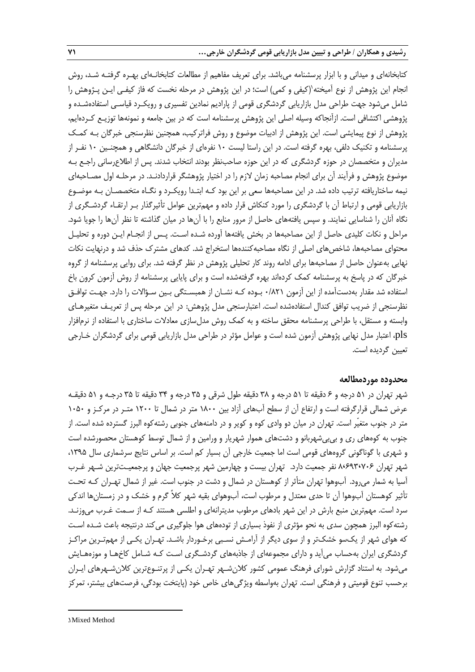کتابخانهای و میدانی و با ابزار پرسشنامه میباشد. برای تعریف مفاهیم از مطالعات کتابخانـهای بهـره گرفتـه شـد، روش نجام این پژوهش از نوع آمیخته`(کیفی و کمی) است؛ در این پژوهش در مرحله نخست که فاز کیفـی ایـن پـژوهش را شامل میشود جهت طراحی مدل بازاریابی گردشگری قومی از پارادیم نمادین تفسیری و رویکـرد قیاسـی استفادهشـده و پژوهشی اکتشافی است. ازآنجاکه وسیله اصلی این پژوهش پرسشنامه است که در بین جامعه و نمونهها توزیـع کـردهایم، پژوهش از نوع پیمایشی است. این پژوهش از ادبیات موضوع و روش فراترکیب، همچنین نظرسنجی خبرگان بـه کمـک پرسشنامه و تکنیک دلفی، بهره گرفته است. در این راستا لیست 10 نفرهای از خبرگان دانشگاهی و همچنـین 10 نفـر از مدیران و متخصصان در حوزه گردشگری که در این حوزه صاحبنظر بودند انتخاب شدند. پس از اطالعرسانی راجـع بـه موضوع پژوهش و فرآیند آن برای انجام مصاحبه زمان الزم را در اختیار پژوهشگر قراردادنـد. در مرحلـه اول مصـاحبهای نیمه ساختاریافته ترتیب داده شد. در این مصاحبهها سعی بر این بود کـه ابتـدا رویکـرد و نگـاه متخصصـان بـه موضـوع بازاریابی قومی و ارتباط آن با گردشگری را مورد کنکاش قرار داده و مهمترین عوامل تأثیرگذار بـر ارتقـاء گردشـگری از نگاه آنان را شناسایی نمایند. و سپس یافتههای حاصل از مرور منابع را با آنها در میان گذاشته تا نظر آنها را جویا شود. مراحل و نکات کلیدی حاصل از این مصاحبهها در بخش یافتهها آورده شـده اسـت. پـس از انجـام ایـن دوره و تحلیـل محتوای مصاحبهها، شاخصهای اصلی از نگاه مصاحبهکنندهها استخراج شد. کدهای مشترك حذف شد و درنهایت نکات نهایی بهعنوان حاصل از مصاحبهها برای ادامه روند کار تحلیلی پژوهش در نظر گرفته شد. برای روایی پرسشنامه از گروه خبرگان که در پاسخ به پرسشنامه کمک کردهاند بهره گرفتهشده است و برای پایایی پرسشنامه از روش آزمون کرون باخ استفاده شد مقدار بهدستآمده از این آزمون 0/821 بـوده کـه نشـان از همبسـتگی بـین سـؤاالت را دارد. جهـت توافـق نظرسنجی از ضریب توافق کندال استفادهشده است. اعتبارسنجی مدل پژوهش: در این مرحله پس از تعریـف متغیرهـای وابسته و مستقل، با طراحی پرسشنامه محقق ساخته و به کمک روش مدلسازی معادالت ساختاری با استفاده از نرمافزار pls، اعتبار مدل نهایی پژوهش آزمون شده است و عوامل مؤثر در طراحی مدل بازاریابی قومی برای گردشگران خـارجی تعیین گردیده است.

#### **محدوده موردمطالعه**

شهر تهران در 51 درجه و 6 دقیقه تا 51 درجه و 38 دقیقه طول شرقی و 35 درجه و 34 دقیقه تا 35 درجـه و 51 دقیقـه عرض شمالی قرارگرفته است و ارتفاع آن از سطح آبهای آزاد بین 1800 متر در شمال تا 1200 متـر در مرکـز و 1050 متر در جنوب متغیّر است. تهران در میان دو وادی کوه و کویر و در دامنههای جنوبی رشتهکوه البرز گسترده شده است. از جنوب به کوههای ری و بی بی شهربانو و دشتهای هموار شهریار و ورامین و از شمال توسط کوهستان محصورشده است و شهری با گوناگونی گروههای قومی است اما جمعیت خارجی آن بسیار کم است. بر اساس نتایج سرشماری سال ،1395 شهر تهران 8٬693٬706 نفر جمعیت دارد. تهران بیست و چهارمین شهر پرجمعیت جهان و پرجمعیـتترین شـهر غـرب آسیا به شمار میرود. آبوهوا تهران متأثر از کوهستان در شمال و دشت در جنوب است. غیر از شمال تهـران کـه تحـت تأثیر کوهستان آبوهوا آن تا حدی معتدل و مرطوب است، آبوهوای بقیه شهر کالً گرم و خشک و در زمستانها اندکی سرد است. مهمترین منبع بارش در این شهر بادهای مرطوب مدیترانهای و اطلسی هستند کـه از سـمت غـرب میوزنـد. رشتهکوه البرز همچون سدی به نحو مؤثری از نفوذ بسیاری از تودههای هوا جلوگیری می کند درنتیجه باعث شـده اسـت که هوای شهر از یکسو خشکتر و از سوی دیگر از آرامـش نسـبی برخـوردار باشـد. تهـران یکـی از مهمتـرین مراکـز گردشگری ایران بهحساب میآید و دارای مجموعهای از جاذبههای گردشـگری اسـت کـه شـامل کاخهـا و موزههـایش میشود. به استناد گزارش شورای فرهنگ عمومی کشور کالنشـهر تهـران یکـی از پرتنـوعترین کالنشـهرهای ایـران برحسب تنوع قومیتی و فرهنگی است. تهران بهواسطه ویژگیهای خاص خود )پایتخت بودگی، فرصتهای بیشتر، تمرکز

1. Mixed Method

1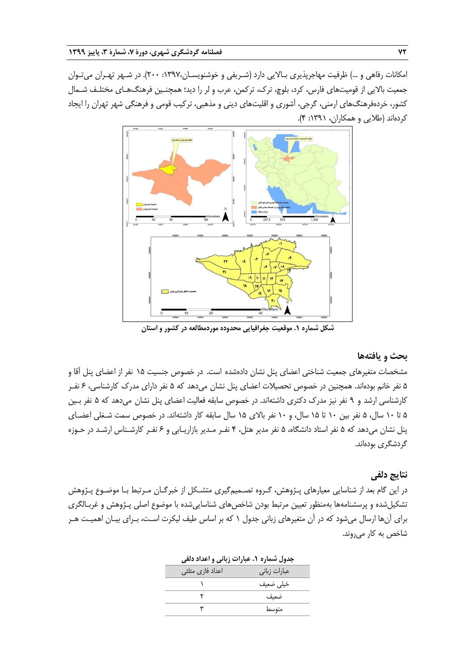امکانات رفاهی و …) ظرفیت مهاجرپذیری بـالایی دارد (شـریفی و خوشنویسـان،۱۳۹۷، ۲۰۰). در شـهر تهـران میتـوان جمعیت باالیی از قومیتهای فارس، کرد، بلوچ، ترك، ترکمن، عرب و لر را دید؛ همچنـین فرهنگهـای مختلـف شـمال کشور، خردهفرهنگهای ارمنی، گرجی، آشوری و اقلیتهای دینی و مذهبی، ترکیب قومی و فرهنگی شهر تهران را ایجاد کردهاند )طالیی و همکاران، :1391 4(.



**شکل شماره .1 موقعیت جغرافیایی محدوده موردمطالعه در کشور و استان**

## **بحث و یافتهها**

مشخصات متغیرهای جمعیت شناختی اعضای پنل نشان دادهشده است. در خصوص جنسیت 15 نفر از اعضای پنل آقا و 5 نفر خانم بودهاند. همچنین در خصوص تحصیالت اعضای پنل نشان میدهد که 5 نفر دارای مدرك کارشناسی، 6 نفـر کارشناسی ارشد و 9 نفر نیز مدرك دکتری داشتهاند. در خصوص سابقه فعالیت اعضای پنل نشان میدهد که 5 نفر بـین 5 تا 10 سال، 5 نفر بین 10 تا 15 سال، و 10 نفر باالی 15 سال سابقه کار داشتهاند. در خصوص سمت شـغلی اعضـای پنل نشان میدهد که 5 نفر استاد دانشگاه، 5 نفر مدیر هتل، 4 نفـر مـدیر بازاریـابی و 6 نفـر کارشـناس ارشـد در حـوزه گردشگری بودهاند.

#### **نتایج دلفی**

در این گام بعد از شناسایی معیارهای پـژوهش، گـروه تصـمیمگیری متشـکل از خبرگـان مـرتبط بـا موضـوع پـژوهش تشکیلشده و پرسشنامهها بهمنظور تعیین مرتبط بودن شاخصهای شناساییشده با موضوع اصلی پـژوهش و غربـالگری برای آنها ارسال میشود که در آن متغیرهای زبانی جدول 1 که بر اساس طیف لیکرت اسـت، بـرای بیـان اهمیـت هـر شاخص به کار میروند.

|                  | جدول شماره ۱. عبارات زبانی و اعداد دلفی |
|------------------|-----------------------------------------|
| اعداد فازی مثلثی | عبارات زبانى                            |
|                  | خيلى ضعيف                               |
|                  | ضعيف                                    |
|                  | متوسط                                   |
|                  |                                         |

| د ان گلم |  |
|----------|--|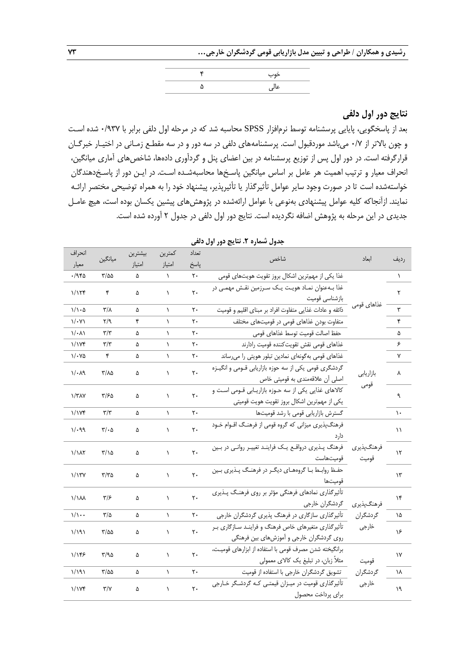**رشیدی و همکاران / طراحی و تبیین مدل بازاریابی قومی گردشگران خارجی... 73**

| خوب  |
|------|
| عالی |

## **نتایج دور اول دلفی**

بعد از پاسخگویی، پایایی پرسشنامه توسط نرمافزار SPSS محاسبه شد که در مرحله اول دلفی برابر با ۰/۹۳۷ شده است و چون باالتر از 0/7 میباشد موردقبول است. پرسشنامههای دلفی در سه دور و در سه مقطـع زمـانی در اختیـار خبرگـان قرارگرفته است. در دور اول پس از توزیع پرسشنامه در بین اعضای پنل و گردآوری دادهها، شاخصهای آماری میانگین، انحراف معیار و ترتیب اهمیت هر عامل بر اساس میانگین پاسـ ها محاسبهشـده اسـت. در ایـن دور از پاسـ دهندگان خواستهشده است تا در صورت وجود سایر عوامل تأثیرگذار یا تأثیرپذیر، پیشنهاد خود را به همراه توضیحی مختصر ارائـه نمایند. ازآنجاکه کلیه عوامل پیشنهادی بهنوعی با عوامل ارائهشده در پژوهشهای پیشین یکسان بوده است، هیچ عامـل جدیدی در این مرحله به پژوهش اضافه نگردیده است. نتایج دور اول دلفی در جدول 2 آورده شده است.

| انحراف                   | ميانگين                       | بيشترين | كمترين    | تعداد          | شاخص                                                    | ابعاد       | رديف          |
|--------------------------|-------------------------------|---------|-----------|----------------|---------------------------------------------------------|-------------|---------------|
| معيار                    |                               | امتياز  | امتياز    | پاسخ           |                                                         |             |               |
| ۱۹۴۵.                    | $\frac{8}{2}$                 | ۵       | $\lambda$ | ٢٠             | غذا يكي از مهمترين اشكال بروز تقويت هويتهاى قومى        |             | $\lambda$     |
| 1/155                    | ۴                             | ۵       | ١         | ٢٠             | غذا بـهعنوان نمـاد هويـت يـک سـرزمين نقـش مهمـي در      |             | ٢             |
|                          |                               |         |           |                | بازشناسی قومیت                                          |             |               |
| $1/\lambda \cdot \Delta$ | $\mathbf{r}/\mathbf{v}$       | ۵       | $\lambda$ | ٢٠             | ذائقه و عادات غذایی متفاوت افراد بر مبنای اقلیم و قومیت | غذاهای قومی | ۳             |
| $1/\cdot Y$              | $\mathsf{Y}/\mathsf{q}$       | ۴       | ١         | ٢٠             | متفاوت بودن غذاهای قومی در قومیتهای مختلف               |             | ۴             |
| $1/\cdot \Lambda$        | $\mathbf{r}/\mathbf{r}$       | ۵       | ١         | ٢٠             | حفظ اصالت قوميت توسط غذاهاى قومى                        |             | ۵             |
| 1/1Yf                    | $\mathbf{r}/\mathbf{r}$       | ۵       | $\lambda$ | ٢٠             | غذاهاى قومى نقش تقويت كننده قوميت رادارند               |             | ۶             |
| ۱/۰۷۵                    | ۴                             | ۵       | ١         | ٢٠             | غذاهای قومی بهگونهای نمادین تبلور هویتی را میرساند      |             | ٧             |
|                          |                               |         |           |                | گردشگری قومی یکی از سه حوزه بازاریابی قـومی و انگیـزه   |             |               |
| $1/\cdot \lambda$ ۹      | ۳/۸۵                          | ۵       | ١         | ٢٠             | اصلی آن علاقهمندی به قومیتی خاص                         | بازاريابي   | ٨             |
|                          |                               |         |           |                | كالاهاى غذايى يكى از سه حـوزه بازاريـابى قـومى اسـت و   | قومى        |               |
| $\frac{1}{\pi}$          | ۳/۶۵                          | ۵       | ١         | ٢٠             | یکی از مهمترین اشکال بروز تقویت هویت قومیتی             |             | ٩             |
| 1/1Yf                    | $\tau/\tau$                   | ۵       | $\lambda$ | ٢٠             | گسترش بازاریابی قومی با رشد قومیتها                     |             | ١.            |
|                          |                               |         |           | ٢٠             | فرهنگپذیری میزانی که گروه قومی از فرهنگ اقـوام خـود     |             |               |
| $1/\cdot99$              | $\mathbf{r}/\cdot \mathbf{r}$ | ۵       | $\lambda$ |                | دار د                                                   |             | ۱۱            |
|                          | ۲/۱۵                          |         |           | ٢٠             | فرهنگ پذیری درواقع یک فرایند تغییر روانی در بین         | فرهنگ پذيري |               |
| 1/1 <sub>N</sub>         |                               | ۵       | ١         |                | قوميتهاست                                               | قوميت       | ۱۲            |
|                          |                               |         |           | ٢٠             | حفظ روابط بـا گروههـای دیگـر در فرهنـگ پـذیری بـین      |             | $\mathcal{N}$ |
| 1/17Y                    | $\tau/\tau$ ۵                 | ۵       | ١         |                | قوميتها                                                 |             |               |
| <b>\/\AA</b>             | ۳۱۶                           | ۵       | ١         | ٢٠             | تأثیر گذاری نمادهای فرهنگی مؤثر بر روی فرهنگ پذیری      |             | ۱۴            |
|                          |                               |         |           |                | گردشگران خارجی                                          | فرهنگپذيري  |               |
| $1/\sqrt{1}$             | $\frac{1}{2}$                 | ۵       | $\lambda$ | ٢٠             | تأثیرگذاری سازگاری در فرهنگ پذیری گردشگران خارجی        | گردشگران    | ۱۵            |
| ۱/۱۹۱                    | ۳/۵۵                          |         | ١         | $\mathsf{r}$ . | تأثیرگذاری متغیرهای خاص فرهنگ و فراینـد سـازگاری بـر    | خارجى       | ۱۶            |
|                          |                               | ۵       |           |                | روی گردشگران خارجی و آموزشهای بین فرهنگی                |             |               |
| ۱/۱۴۶                    | ۳/۹۵                          |         | $\lambda$ | ٢٠             | برانگیخته شدن مصرف قومی با استفاده از ابزارهای قومیت،   |             | $\mathsf{v}$  |
|                          |                               | ۵       |           |                | مثلاً زبان، در تبلیغ یک کالای معمولی                    | قوميت       |               |
| ۱/۱۹۱                    | $\frac{8}{2}$                 | ۵       | $\lambda$ | ٢٠             | تشویق گردشگران خارجی با استفاده از قومیت                | گردشگران    | ١٨            |
| 1/1Yf                    | $\Upsilon/\Upsilon$           | ۵       | $\lambda$ | ٢٠             | تأثیرگذاری قومیت در میـزان قیمتـی کـه گردشـگر خـارجی    | خارجى       | ١٩            |
|                          |                               |         |           |                | براي پرداخت محصول                                       |             |               |

**جدول شماره .2 نتایج دور اول دلفی**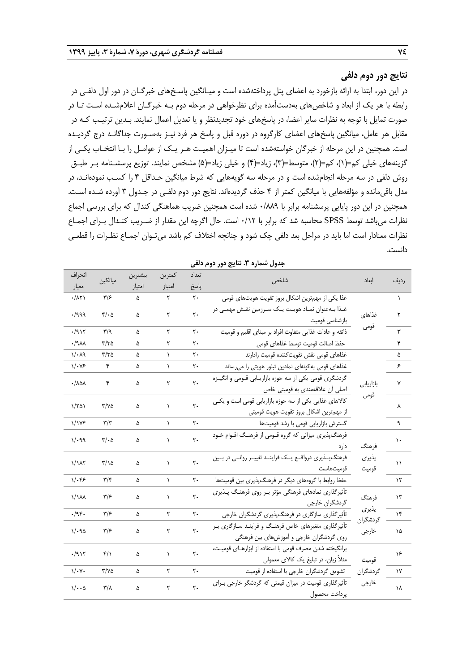## **نتایج دور دوم دلفی**

در این دور، ابتدا به ارائه بازخورد به اعضای پنل پرداختهشده است و میـانگین پاسـ های خبرگـان در دور اول دلفـی در رابطه با هر یک از ابعاد و شاخصهای بهدستآمده برای نظرخواهی در مرحله دوم بـه خبرگـان اعالمشـده اسـت تـا در صورت تمایل با توجه به نظرات سایر اعضا، در پاسخهای خود تجدیدنظر و یا تعدیل اعمال نمایند. بـدین ترتیـب کـه در مقابل هر عامل، میانگین پاسخهای اعضای کارگروه در دوره قبل و پاسخ هر فرد نیـز بهصـورت جداگانـه درج گردیـده است. همچنین در این مرحله از خبرگان خواستهشده است تا میـزان اهمیـت هـر یـک از عوامـل را بـا انتخـاب یکـی از گزینههای خیلی کم=(۱)، کم=(۲)، متوسط=(۳)، زیاد=(۴) و خیلی زیاد=(۵) مشخص نمایند. توزیع پرسشـنامه بـر طبـق روش دلفی در سه مرحله انجامشده است و در مرحله سه گویههایی که شرط میانگین حـداقل 4 را کسـب نمودهانـد، در مدل باقیمانده و مؤلفههایی با میانگین کمتر از 4 حذف گردیدهاند. نتایج دور دوم دلفـی در جـدول 3 آورده شـده اسـت. همچنین در این دور پایایی پرسشنامه برابر با 0/889 شده است همچنین ضریب هماهنگی کندال که برای بررسی اجماع نظرات میباشد توسط SPSS محاسبه شد که برابر با ۰/۱۲ است. حال اگرچه این مقدار از ضـریب کنـدال بـرای اجمـاع نظرات معنادار است اما باید در مراحل بعد دلفی چک شود و چنانچه اختالف کم باشد میتـوان اجمـاع نظـرات را قطعـی دانست.

| انحراف                 |                         | بيشترين | كمترين    | تعداد          |                                                                                                   |                   |             |
|------------------------|-------------------------|---------|-----------|----------------|---------------------------------------------------------------------------------------------------|-------------------|-------------|
| معيار                  | ميانگين                 | امتياز  | امتياز    | پاسخ           | شاخص                                                                                              | ابعاد             | رديف        |
| ۰/۸۲۱                  | ۳۱۶                     | ۵       | ٢         | $\mathsf{r}$ . | غذا یکی از مهمترین اشکال بروز تقویت هویتهای قومی                                                  |                   | $\lambda$   |
| 999.                   | $f(\cdot)$              | ۵       | ۲         | $\mathbf{r}$ . | غـذا بــهعنوان نمــاد هويــت يــک ســرزمين نقــش مهمــى در<br>بازشناسى قوميت                      | غذاهای            | ٢           |
| ۰/۹۱۲                  | $\mathsf{r}/\mathsf{q}$ | ۵       | ٢         | ٢٠             | ذائقه و عادات غذایی متفاوت افراد بر مبنای اقلیم و قومیت                                           | قومى              | ٣           |
| ۳۱۷۰ ۰                 | $\tau/\tau_0$           | ۵       | ۲         | ٢٠             | حفظ اصالت قوميت توسط غذاهاى قومى                                                                  |                   | ۴           |
| $1/\cdot$ $\Lambda$ 9  | $\tau/\tau$ ۵           | ۵       | $\lambda$ | ٢٠             | غذاهاى قومى نقش تقويتكننده قوميت رادارند                                                          |                   | ۵           |
| $1/\cdot V$ ۶          | ۴                       | ۵       | $\lambda$ | ٢٠             | غذاهای قومی بهگونهای نمادین تبلور هویتی را میرساند                                                |                   | ۶           |
| ٠/٨۵٨                  | ۴                       | ۵       | ۲         | $\mathbf{r}$ . | گردشگری قومی یکی از سه حوزه بازاریـابی قــومی و انگیــزه<br>اصلی آن علاقهمندی به قومیتی خاص       | بازاريابى         | ٧           |
| 1/701                  | Y/YQ                    | ۵       | ١         | $\mathsf{r}$ . | كالاهاى غذايى يكى از سه حوزه بازاريابى قومى است و يكى<br>از مهم ترین اشکال بروز تقویت هویت قومیتی | قومى              | ٨           |
| 1/1Yf                  | $\mathbf{r}/\mathbf{r}$ | ۵       | $\lambda$ | ٢٠             | گسترش بازاريابي قومي با رشد قوميتها                                                               |                   | ٩           |
| ۱/۰۹۹                  | $\tau/\cdot \Delta$     | ۵       |           | $\mathsf{r}$ . | فرهنگپذیری میزانی که گروه قـومی از فرهنـگ اقـوام خـود<br>دار د                                    | فرهنگ             | ١.          |
| 1/1 <sub>N</sub>       | ۲/۱۵                    | ۵       | ١         | $\mathsf{r}$ . | فرهنگ پذیری درواقع یـک فراینـد تغییـر روانـی در بـین<br>قوميتهاست                                 | پذیری<br>قوميت    | $\setminus$ |
| $1/\cdot$ ۴۶           | $\mathbf{y}/\mathbf{y}$ | ۵       | $\lambda$ | ٢٠             | حفظ روابط با گروههای دیگر در فرهنگپذیری بین قومیتها                                               |                   | ۱۲          |
| $1/\lambda$            | ۳۱۶                     | ۵       | ١         | $\mathsf{r}$ . | تأثیرگذاری نمادهای فرهنگی مؤثر بر روی فرهنگ پذیری<br>گردشگران خارجى                               | فرهنگ             | ۱۳          |
| ۱۹۴۰.                  | ۳۱۶                     | ۵       | ٢         | ٢٠             | تأثیرگذاری سازگاری در فرهنگپذیری گردشگران خارجی                                                   | پذیری             | ۱۴          |
| 1/20                   | ۳۱۶                     | ۵       | ٢         | $\mathbf{r}$ . | تأثیرگذاری متغیرهای خاص فرهنگ و فراینـد سـازگاری بـر<br>روی گردشگران خارجی و آموزشهای بین فرهنگی  | گردشگران<br>خارجي | ۱۵          |
| ۰/۹۱۲                  | ۴/۱                     | ۵       | ١         | $\mathbf{r}$ . | برانگیخته شدن مصرف قومی با استفاده از ابزارهـای قومیـت،<br>مثلاً زبان، در تبلیغ یک کالای معمولی   | قوميت             | ۱۶          |
| $\sqrt{\cdot \gamma}$  | ۳/۷۵                    | ۵       | ٢         | ٢٠             | تشویق گردشگران خارجی با استفاده از قومیت                                                          | گردشگران          | ١٧          |
| $1/\cdot \cdot \Delta$ | $\mathsf{r}/\mathsf{v}$ | ۵       | ٢         | $\mathbf{r}$ . | تأثیرگذاری قومیت در میزان قیمتی که گردشگر خارجی بـرای<br>پرداخت محصول                             | خارجي             | ١٨          |

**جدول شماره .3 نتایج دور دوم دلفی**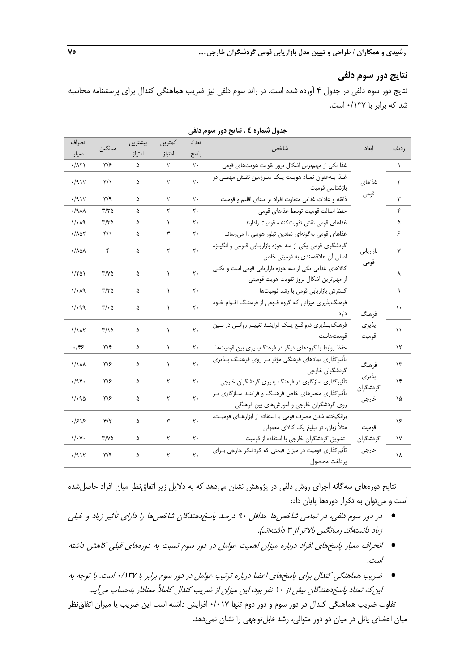## **نتایج دور سوم دلفی**

نتایج دور سوم دلفی در جدول 4 آورده شده است. در راند سوم دلفی نیز ضریب هماهنگی کندال برای پرسشنامه محاسبه شد که برابر با 0/137 است.

| انحراف                           | ميانگين                       | بيشترين | كمترين    | تعداد          | شاخص                                                                                              | ابعاد             |           |
|----------------------------------|-------------------------------|---------|-----------|----------------|---------------------------------------------------------------------------------------------------|-------------------|-----------|
| معيار                            |                               | امتياز  | امتياز    | پاسخ           |                                                                                                   |                   | رديف      |
| $\cdot/\lambda\Upsilon$          | $\frac{1}{2}$                 | ۵       | ٢         | ٢٠             | غذا یکی از مهمترین اشکال بروز تقویت هویتهای قومی                                                  |                   | $\lambda$ |
| .711                             | $\mathcal{F}/\Lambda$         | ۵       | ۲         | $\mathsf{r}$ . | غـذا بــهعنوان نمــاد هويــت يــک ســرزمين نقــش مهمــى در<br>بازشناسى قوميت                      | غذاهای            | ٢         |
| ۰/۹۱۲                            | $\mathbf{r}/\mathbf{q}$       | ۵       | ۲         | ٢٠             | ذائقه و عادات غذایی متفاوت افراد بر مبنای اقلیم و قومیت                                           | قومى              | ٣         |
| ۸۸۰/۰                            | ۳/۳۵                          | ۵       | ٢         | ٢٠             | حفظ اصالت قوميت توسط غذاهاى قومى                                                                  |                   | ۴         |
| ۱/۰۸۹                            | ۳/۳۵                          | ۵       | $\lambda$ | ٢٠             | غذاهاى قومى نقش تقويتكننده قوميت رادارند                                                          |                   | ۵         |
| $\cdot / \lambda \Delta Y$       | $\mathcal{F}/\Lambda$         | ۵       | ٣         | ٢٠             | غذاهای قومی بهگونهای نمادین تبلور هویتی را میرساند                                                |                   | ۶         |
| $\cdot / \lambda \Delta \lambda$ | ۴                             | ۵       | ٢         | ٢٠             | گردشگری قومی یکی از سه حوزه بازاریـابی قــومی و انگیــزه<br>اصلی آن علاقهمندی به قومیتی خاص       | بازاريابي         | ٧         |
| ۱/۲۵۱                            | Y/YQ                          | ۵       | ١         | $\mathsf{r}$ . | كالاهاى غذايى يكى از سه حوزه بازاريابي قومي است و يكي<br>از مهم,ترين اشكال بروز تقويت هويت قوميتي | قومى              | ٨         |
| $1/\cdot$ $\Lambda$ 9            | ۳/۳۵                          | ۵       | $\lambda$ | ٢٠             | گسترش بازاريابي قومي با رشد قوميتها                                                               |                   | ٩         |
| $1/\cdot99$                      | $\mathbf{r}/\cdot \mathbf{r}$ | ۵       | ١         | $\mathsf{r}$ . | فرهنگپذیری میزانی که گروه قـومی از فرهنـگ اقـوام خـود<br>دار د                                    | فرهنگ             | ١.        |
| 1/1 <sub>AT</sub>                | ۲/۱۵                          | ۵       | ١         | $\mathsf{r}$ . | فرهنگپـذيري درواقـع يـک فراينـد تغييـر روانـي در بـين<br>قوميتهاست                                | پذيري<br>قوميت    | ۱۱        |
| .199                             | $\mathbf{r}/\mathbf{r}$       | ۵       | $\lambda$ | ٢٠             | حفظ روابط با گروههای دیگر در فرهنگپذیری بین قومیتها                                               |                   | ۱۲        |
| $1/\lambda$                      | $\frac{1}{2}$                 | ۵       | ١         | ٢٠             | تأثیرگذاری نمادهای فرهنگی مؤثر بـر روی فرهنگ پـذیری<br>گردشگران خارجي                             | فرهنگ             | ۱۳        |
| .795.                            | ۳۱۶                           | ۵       | ٢         | ٢٠             | تأثیرگذاری سازگاری در فرهنگ پذیری گردشگران خارجی                                                  | پذیری             | ۱۴        |
| $1/\cdot90$                      | ۳۱۶                           | ۵       | ٢         | $\mathsf{r}$ . | تأثیرگذاری متغیرهای خاص فرهنگ و فراینـد سـازگاری بـر<br>روی گردشگران خارجی و آموزشهای بین فرهنگی  | گردشگران<br>خارجي | ۱۵        |
| .1818                            | $\mathbf{r}/\mathbf{r}$       | ۵       | ٣         | $\mathsf{r}$ . | برانگیخته شدن مصرف قومی با استفاده از ابزارهای قومیت،<br>مثلاً زبان، در تبلیغ یک کالای معمولی     | قوميت             | ۱۶        |
| $\sqrt{\cdot \gamma}$            | $\tau/\gamma$ ۵               | ۵       | ٢         | ٢٠             | تشویق گردشگران خارجی با استفاده از قومیت                                                          | گردشگران          | ١٧        |
| .7917                            | $\mathbf{r}/\mathbf{q}$       | ۵       | ٢         | ٢٠             | تأثیر گذاری قومیت در میزان قیمتی که گردشگر خارجی برای<br>پرداخت محصول                             | خارجي             | ۱٨        |

**جدول شماره 4 . نتایج دور سوم دلفی**

نتایج دورههای سهگانه اجرای روش دلفی در پژوهش نشان میدهد که به دالیل زیر اتفاقنظر میان افراد حاصلشده است و میتوان به تکرار دورهها پایان داد:

- در دور سوم دلفی، در تمامی شاخصها حداقل ۹۰ درصد پاسخدهندگان شاخصها را دارای تأثیر زیاد و خیلی زیاد دانستهاند (میانگین بالاتر از ۳ داشتهاند).
- انحراف معیار پاسخهای افراد درباره میزان اهمیت عوامل در دور سوم نسبت به دورههای قبلی کاهش داشته است.
- \_ ضریب هماهنگی کندال برای پاسخهای اعضا درباره ترتیب عوامل در دور سوم برابر با ۱۳۷/۰ است. با توجه به این که تعداد پاسخ دهندگان بیش از ۱۰ نفر بود، این میزان از ضریب کندال کاملاً معنادار بهحساب می آید.

تفاوت ضریب هماهنگی کندال در دور سوم و دور دوم تنها 0/017 افزایش داشته است این ضریب یا میزان اتفاقنظر میان اعضای پانل در میان دو دور متوالی، رشد قابلتوجهی را نشان نمیدهد.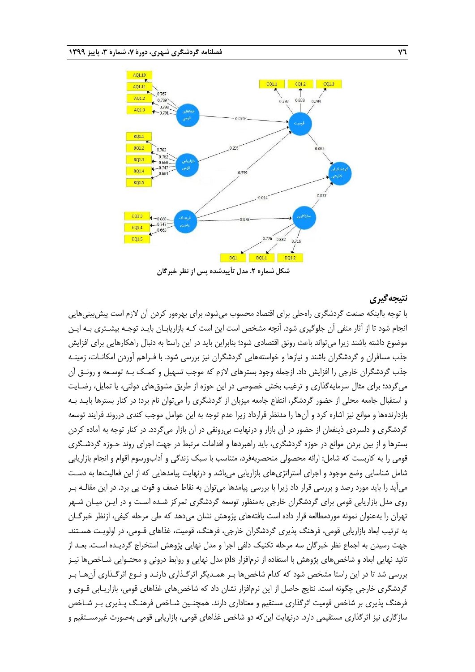

**شکل شماره .2 مدل تأییدشده پس از نظر خبرگان**

## **نتیجهگیری**

با توجه بااینکه صنعت گردشگری راهحلی برای اقتصاد محسوب میشود، برای بهرهور کردن آن الزم است پیشبینیهایی انجام شود تا از آثار منفی آن جلوگیری شود. آنچه مشخص است این است کـه بازاریابـان بایـد توجـه بیشـتری بـه ایـن موضوع داشته باشند زیرا میتواند باعث رونق اقتصادی شود؛ بنابراین باید در این راستا به دنبال راهکارهایی برای افزایش جذب مسافران و گردشگران باشند و نیازها و خواستههایی گردشگران نیز بررسی شود. با فـراهم آوردن امکانـات، زمینـه جذب گردشگران خارجی را افزایش داد. ازجمله وجود بسترهای الزم که موجب تسهیل و کمـک بـه توسـعه و رونـق آن میگردد؛ برای مثال سرمایهگذاری و ترغیب بخش خصوصی در این حوزه از طریق مشوقهای دولتی، یا تمایل، رضـایت و استقبال جامعه محلی از حضور گردشگر، انتفاع جامعه میزبان از گردشگری را میتوان نام برد؛ در کنار بسترها بایـد بـه بازدارندهها و موانع نیز اشاره کرد و آنها را مدنظر قرارداد زیرا عدم توجه به این عوامل موجب کندی درروند فرایند توسعه گردشگری و دلسردی ذینفعان از حضور در آن بازار و درنهایت بیرونقی در آن بازار میگردد. در کنار توجه به آماده کردن بسترها و از بین بردن موانع در حوزه گردشگری، باید راهبردها و اقدامات مرتبط در جهت اجرای روند حـوزه گردشـگری قومی را به کاربست که شامل: ارائه محصولی منحصربهفرد، متناسب با سبک زندگی و آدابورسوم اقوام و انجام بازاریابی شامل شناسایی وضع موجود و اجرای استراتژیهای بازاریابی میباشد و درنهایت پیامدهایی که از این فعالیتها به دسـت میآید را باید مورد رصد و بررسی قرار داد زیرا با بررسی پیامدها میتوان به نقاط ضعف و قوت پی برد. در این مقالـه بـر روی مدل بازاریابی قومی برای گردشگران خارجی بهمنظور توسعه گردشگری تمرکز شـده اسـت و در ایـن میـان شـهر تهران را بهعنوان نمونه موردمطالعه قرار داده است یافتههای پژوهش نشان میدهد که طی مرحله کیفی، ازنظر خبرگـان به ترتیب ابعاد بازاریابی قومی، فرهنگ پذیری گردشگران خارجی، فرهنگ، قومیت، غذاهای قـومی، در اولویـت هسـتند. جهت رسیدن به اجماع نظر خبرگان سه مرحله تکنیک دلفی اجرا و مدل نهایی پژوهش استخراج گردیـده اسـت. بعـد از تائید نهایی ابعاد و شاخصهای پژوهش با استفاده از نرمافزار pls مدل نهایی و روابط درونی و محتـوایی شـاخصها نیـز بررسی شد تا در این راستا مشخص شود که کدام شاخصها بـر همـدیگر اثرگـذاری دارنـد و نـوع اثرگـذاری آنهـا بـر گردشگری خارجی چگونه است. نتایج حاصل از این نرمافزار نشان داد که شاخصهای غذاهای قومی، بازاریـابی قـوی و فرهنگ پذیری بر شاخص قومیت اثرگذاری مستقیم و معناداری دارند. همچنـین شـاخص فرهنـگ پـذیری بـر شـاخص سازگاری نیز اثرگذاری مستقیمی دارد. درنهایت اینکه دو شاخص غذاهای قومی، بازاریابی قومی بهصورت غیرمسـتقیم و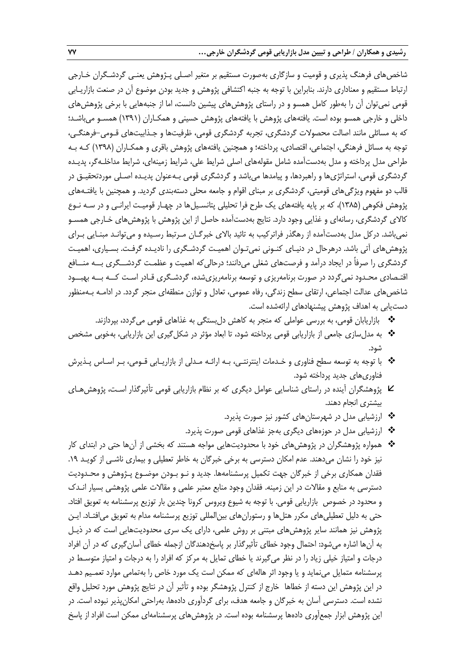شاخصهای فرهنگ پذیری و قومیت و سازگاری بهصورت مستقیم بر متغیر اصـلی پـژوهش یعنـی گردشـگران خـارجی ارتباط مستقیم و معناداری دارند. بنابراین با توجه به جنبه اکتشافی پژوهش و جدید بودن موضوع آن در صنعت بازاریـابی قومی نمیتوان آن را بهطور کامل همسو و در راستای پژوهشهای پیشین دانست، اما از جنبههایی با برخی پژوهشهای داخلی و خارجی همسو بوده است. یافتههای پژوهش با یافتههای پژوهش حسینی و همکـاران )1391( همسـو میباشـد؛ که به مسائلی مانند اصالت محصوالت گردشگری، تجربه گردشگری قومی، ظرفیتها و جـذابیتهای قـومی-فرهنگـی، توجه به مسائل فرهنگی، اجتماعی، اقتصادی، پرداخته؛ و همچنین یافتههای پژوهش باقری و همکـاران )1398( کـه بـه طراحی مدل پرداخته و مدل بهدستآمده شامل مقولههای اصلی شرایط علی، شرایط زمینهای، شرایط مداخلـهگر، پدیـده گردشگری قومی، استراتژیها و راهبردها، و پیامدها میباشد و گردشگری قومی بـهعنوان پدیـده اصـلی موردتحقیـق در قالب دو مفهوم ویژگیهای قومیتی، گردشگری بر مبنای اقوام و جامعه محلی دستهبندی گردید. و همچنین با یافتـههای پژوهش فکوهی (۱۳۸۵)، که بر پایه یافتههای یک طرح فرا تحلیلی پتانسـیلها در چهـار قومیـت ایرانـی و در سـه نـوع کاالی گردشگری، رسانهای و غذایی وجود دارد. نتایج بهدستآمده حاصل از این پژوهش با پژوهشهای خـارجی همسـو نمیباشد. درکل مدل بهدستآمده از رهگذر فراترکیب به تائید بالای خبرگـان مـرتبط رسـیده و می توانـد مبنـایی بـرای پژوهشهای آتی باشد. درهرحال در دنیـای کنـونی نمیتـوان اهمیـت گردشـگری را نادیـده گرفـت. بسـیاری، اهمیـت گردشگری را صرفاً در ایجاد درآمد و فرصتهای شغلی میدانند؛ درحالیکه اهمیت و عظمـت گردشــگری بــه منــافع اقتـصادی محـدود نمیگردد در صورت برنامهریزی و توسعه برنامهریزیشده، گردشـگری قـادر اسـت کــه بــه بهبــود شاخصهای عدالت اجتماعی، ارتقای سطح زندگی، رفاه عمومی، تعادل و توازن منطقهای منجر گردد. در ادامـه بـهمنظور دستیابی به اهداف پژوهش پیشنهادهای ارائهشده است.

- بازاریابان قومی، به بررسی عواملی که منجر به کاهش دلبستگی به غذاهای قومی میگردد، بپردازند.
- به مدلسازی جامعی از بازاریابی قومی پرداخته شود، تا ابعاد مؤثر در شکلگیری این بازاریابی، بهخوبی مشخص شود.
- با توجه به توسعه سطح فناوری و خـدمات اینترنتـی، بـه ارائـه مـدلی از بازاریـابی قـومی، بـر اسـاس پـذیرش فناوریهای جدید پرداخته شود.
- پژوهشگران آینده در راستای شناسایی عوامل دیگری که بر نظام بازاریابی قومی تأثیرگذار اسـت، پژوهشهـای بیشتری انجام دهند.
	- ارزشیابی مدل در شهرستانهای کشور نیز صورت پذیرد.
	- ارزشیابی مدل در حوزههای دیگری بهجز غذاهای قومی صورت پذیرد.
- همواره پژوهشگران در پژوهشهای خود با محدودیتهایی مواجه هستند که بخشی از آنها حتی در ابتدای کار نیز خود را نشان میدهند. عدم امکان دسترسی به برخی خبرگان به خاطر تعطیلی و بیماری ناشـی از کویـد .19 فقدان همکاری برخی از خبرگان جهت تکمیل پرسشنامهها. جدید و نـو بـودن موضـوع پـژوهش و محـدودیت دسترسی به منابع و مقاالت در این زمینه. فقدان وجود منابع معتبر علمی و مقاالت علمی پژوهشی بسیار انـدك و محدود در خصوص بازاریابی قومی. با توجه به شیوع ویروس کرونا چندین بار توزیع پرسشنامه به تعویق افتاد. حتی به دلیل تعطیلیهای مکرر هتلها و رستورانهای بینالمللی توزیع پرسشنامه مدام به تعویق میافتـاد. ایـن پژوهش نیز همانند سایر پژوهشهای مبتنی بر روش علمی، دارای یک سری محدودیتهایی است که در ذیـل به آنها اشاره می شود: احتمال وجود خطای تأثیرگذار بر پاسخدهندگان ازجمله خطای آسان گیری که در آن افراد درجات و امتیاز خیلی زیاد را در نظر می $\xi$ یرند یا خطای تمایل به مرکز که افراد را به درجات و امتیاز متوسـط در پرسشنامه متمایل مینماید و یا وجود اثر هالهای که ممکن است یک مورد خاص را بهتمامی موارد تعمـیم دهـد در این پژوهش این دسته از خطاها خارج از کنترل پژوهشگر بوده و تأثیر آن در نتایج پژوهش مورد تحلیل واقع نشده است. دسترسی آسان به خبرگان و جامعه هدف، برای گردآوری دادهها، بهراحتی امکانپذیر نبوده است. در این پژوهش ابزار جمعآوری دادهها پرسشنامه بوده است. در پژوهشهای پرسشنامهای ممکن است افراد از پاس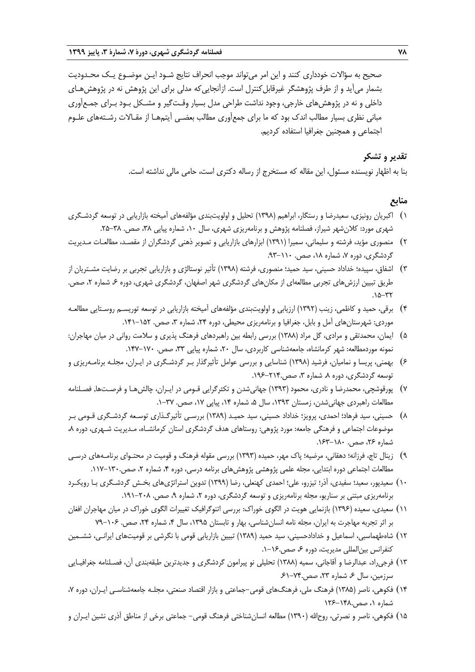صحیح به سؤاالت خودداری کنند و این امر میتواند موجب انحراف نتایج شـود ایـن موضـوع یـک محـدودیت بشمار میآید و از طرف پژوهشگر غیرقابل کنترل است. ازآنجاییکه مدلی برای این پژوهش نه در پژوهشهـای داخلی و نه در پژوهشهای خارجی، وجود نداشت طراحی مدل بسیار وقـتگیر و مشـکل بـود بـرای جمـعآوری مبانی نظری بسیار مطالب اندك بود که ما برای جمعآوری مطالب بعضـی آیتمهـا از مقـاالت رشـتههای علـوم اجتماعی و همچنین جغرافیا استفاده کردیم.

## **تقدیر و تشکر**

بنا به اظهار نویسنده مسئول، این مقاله که مستخرج از رساله دکتری است، حامی مالی نداشته است.

# **منابع**

- 1( اکبریان رونیزی، سعیدرضا و رستگار، ابراهیم )1398( تحلیل و اولویتبندی مؤلفههای آمیخته بازاریابی در توسعه گردشـگری شهری مورد: کلان شهر شیراز، فصلنامه پژوهش و برنامهریزی شهری، سال ۱۰، شماره پیاپی ۳۸، صص. ۳۸-۲۵.
- 2( منصوری مؤید، فرشته و سلیمانی، سمیرا )1391( ابزارهای بازاریابی و تصویر ذهنی گردشگران از مقصـد، مطالعـات مـدیریت گردشگری، دوره ۷، شماره ۱۸، صص. ۱۱۰–۹۳.
- 3( اشفاق، سپیده؛ خداداد حسینی، سید حمید؛ منصوری، فرشته )1398( تأثیر نوستالژی و بازاریابی تجربی بر رضایت مشـتریان از طریق تبیین ارزشهای تجربی مطالعهای از مکانهای گردشگری شهر اصفهان، گردشگری شهری، دوره ۶ شماره ۲، صص.  $.10 - YY$
- 4( برقی، حمید و کاظمی، زینب )1392( ارزیابی و اولویتبندی مؤلفههای آمیخته بازاریابی در توسعه توریسـم روسـتایی مطالعـه موردی: شهرستانهای آمل و بابل، جغرافیا و برنامهریزی محیطی، دوره ۲۴، شماره ۳، صص. ۱۵۲-۱۴۱.
- 5( ایمان، محمدتقی و مرادی، گل مراد )1388( بررسی رابطه بین راهبردهای فرهنگ پذیری و سالمت روانی در میان مهاجران: نمونه موردمطالعه: شهر کرمانشاه، جامعهشناسی کاربردی، سال ،20 شماره پیاپی ،33 صص. .147-170
- 6( بهمنی، پریسا و نمامیان، فرشید )1398( شناسایی و بررسی عوامل تأثیرگذار بـر گردشـگری در ایـران، مجلـه برنامـهریزی و توسعه گردشگری، دوره ۸. شماره ۳، صص۲۱۴-۱۹۶.
- 7( پورقوشچی، محمدرضا و نادری، محمود )1393( جهانیشدن و تکثرگرایی قـومی در ایـران، چالشهـا و فرصـتها. فصـلنامه مطالعات راهبردی جهانی شدن، زمستان ۱۳۹۳، سال ۵، شماره ۱۴، پیاپی ۱۷، صص. ۳۷–۱.
- 8( حسینی، سید فرهاد؛ احمدی، پرویز؛ خداداد حسینی، سید حمیـد )1389( بررسـی تأثیرگـذاری توسـعه گردشـگری قـومی بـر موضوعات اجتماعی و فرهنگی جامعه: مورد پژوهی: روستاهای هدف گردشگری استان کرمانشـاه، مـدیریت شـهری، دوره ٨، شماره ۲۶، صص. ۱۸۰–۱۶۳.
- 9( زینال تاج، فرزانه؛ دهقانی، مرضیه؛ پاك مهر، حمیده )1393( بررسی مقوله فرهنگ و قومیت در محتـوای برنامـههای درسـی مطالعات اجتماعی دوره ابتدایی، مجله علمی پژوهشی پژوهشهای برنامه درسی، دوره ۴، شماره ۲، صص.۱۳۰-۱۱۷.
- ۱۰) سعیدپور، سعید؛ سفیدی، آذر؛ تیزرو، علی؛ احمدی کهنعلی، رضا (۱۳۹۹) تدوین استراتژیهای بخـش گردشـگری بـا رویکـرد برنامهریزی مبتنی بر سناریو، مجله برنامهریزی و توسعه گردشگری، دوره ۲، شماره ۹، صص. ۲۰۸–۱۹۱.
- 11( سعیدی، سعیده )1396( بازنمایی هویت در الگوی خوراك: بررسی اتنوگرافیک تغییرات الگوی خوراك در میان مهاجران افغان بر اثر تجربه مهاجرت به ایران، مجله نامه انسان شناسی، بهار و تابستان ۱۳۹۵، سال ۴، شماره ۲۴، صص. ۱۰۶-۷۹
- 12( شاهطهماسبی، اسماعیل و خدادادحسینی، سید حمید )1389( تبیین بازاریابی قومی با نگرشی بر قومیتهای ایرانـی، ششـمین کنفرانس بین|لمللی مدیریت، دوره ۶، صص.۱۶-۱.
- 13( فرجیراد، عبدالرضا و آقاجانی، سمیه )1388( تحلیلی نو پیرامون گردشگری و جدیدترین طبقهبندی آن، فصـلنامه جغرافیـایی سرزمین، سال ۶، شماره ۲۳، صص.۷۴-۶۱.
- ۱۴) فکوهی، ناصر (۱۳۸۵) فرهنگ ملی، فرهنگهای قومی–جماعتی و بازار اقتصاد صنعتی، مجلـه جامعهشناسـی ایـران، دوره ۷، شماره ،1 صص126-148.
- ۱۵) فکوهی، ناصر و نصرتی، روحالله (۱۳۹۰) مطالعه انسانشناختی فرهنگ قومی- جماعتی برخی از مناطق آذری نشین ایـران و